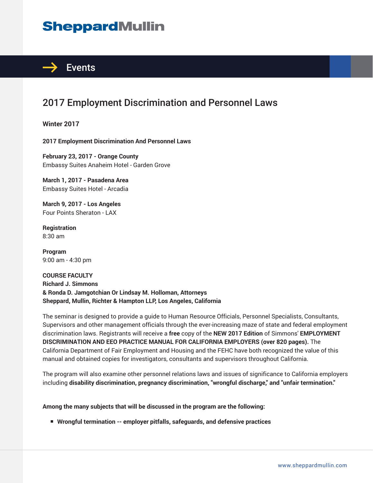# **SheppardMullin**



### 2017 Employment Discrimination and Personnel Laws

**Winter 2017**

**2017 Employment Discrimination And Personnel Laws**

**February 23, 2017 - Orange County** Embassy Suites Anaheim Hotel - Garden Grove

**March 1, 2017 - Pasadena Area** Embassy Suites Hotel - Arcadia

**March 9, 2017 - Los Angeles** Four Points Sheraton - LAX

**Registration** 8:30 am

**Program** 9:00 am - 4:30 pm

**COURSE FACULTY Richard J. Simmons & Ronda D. Jamgotchian Or Lindsay M. Holloman, Attorneys Sheppard, Mullin, Richter & Hampton LLP, Los Angeles, California**

The seminar is designed to provide a guide to Human Resource Officials, Personnel Specialists, Consultants, Supervisors and other management officials through the ever-increasing maze of state and federal employment discrimination laws. Registrants will receive a **free** copy of the **NEW 2017 Edition** of Simmons' **EMPLOYMENT DISCRIMINATION AND EEO PRACTICE MANUAL FOR CALIFORNIA EMPLOYERS (over 820 pages).** The California Department of Fair Employment and Housing and the FEHC have both recognized the value of this manual and obtained copies for investigators, consultants and supervisors throughout California.

The program will also examine other personnel relations laws and issues of significance to California employers including **disability discrimination, pregnancy discrimination, "wrongful discharge," and "unfair termination."**

#### **Among the many subjects that will be discussed in the program are the following:**

■ Wrongful termination -- employer pitfalls, safeguards, and defensive practices